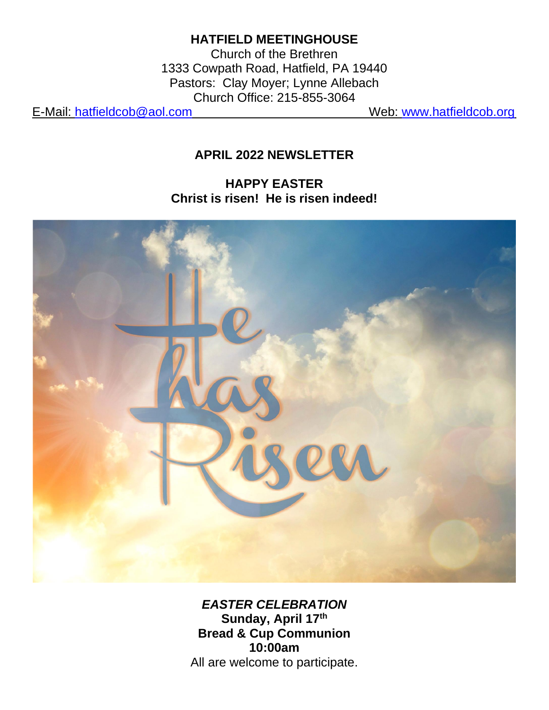## **HATFIELD MEETINGHOUSE**

Church of the Brethren 1333 Cowpath Road, Hatfield, PA 19440 Pastors: Clay Moyer; Lynne Allebach Church Office: 215-855-3064

E-Mail: [hatfieldcob@aol.com](mailto:hatfieldcob@aol.com) Web: [www.hatfieldcob.org](http://www.hatfieldcob.org/)

## **APRIL 2022 NEWSLETTER**

### **HAPPY EASTER Christ is risen! He is risen indeed!**



*EASTER CELEBRATION* **Sunday, April 17th Bread & Cup Communion 10:00am** All are welcome to participate.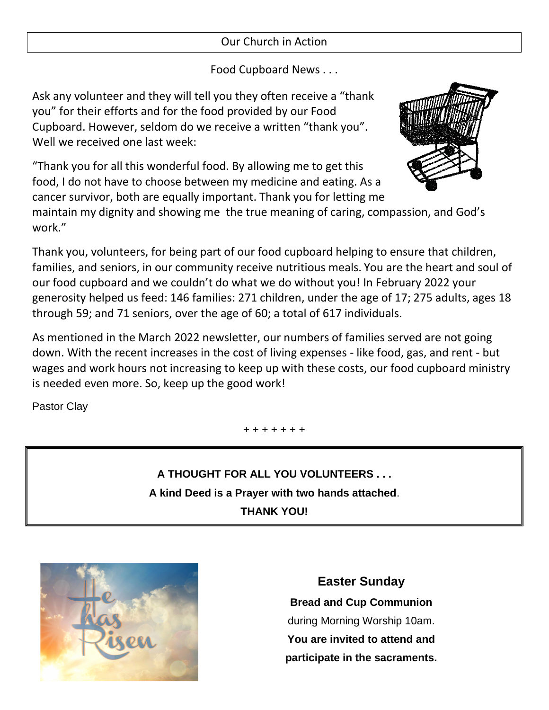#### Our Church in Action

#### Food Cupboard News . . .

Ask any volunteer and they will tell you they often receive a "thank you" for their efforts and for the food provided by our Food Cupboard. However, seldom do we receive a written "thank you". Well we received one last week:

"Thank you for all this wonderful food. By allowing me to get this food, I do not have to choose between my medicine and eating. As a cancer survivor, both are equally important. Thank you for letting me

maintain my dignity and showing me the true meaning of caring, compassion, and God's work."

Thank you, volunteers, for being part of our food cupboard helping to ensure that children, families, and seniors, in our community receive nutritious meals. You are the heart and soul of our food cupboard and we couldn't do what we do without you! In February 2022 your generosity helped us feed: 146 families: 271 children, under the age of 17; 275 adults, ages 18 through 59; and 71 seniors, over the age of 60; a total of 617 individuals.

As mentioned in the March 2022 newsletter, our numbers of families served are not going down. With the recent increases in the cost of living expenses - like food, gas, and rent - but wages and work hours not increasing to keep up with these costs, our food cupboard ministry is needed even more. So, keep up the good work!

Pastor Clay

+ + + + + + +

**A THOUGHT FOR ALL YOU VOLUNTEERS . . . A kind Deed is a Prayer with two hands attached**. **THANK YOU!**



**Easter Sunday Bread and Cup Communion** during Morning Worship 10am. **You are invited to attend and participate in the sacraments.** 



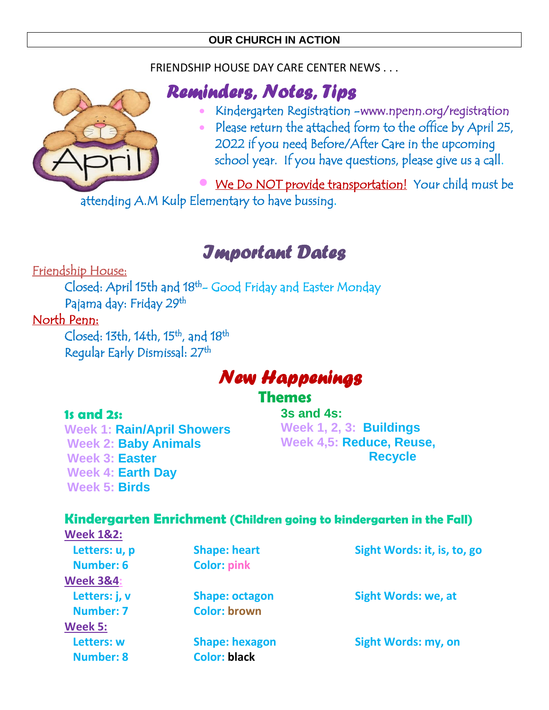#### **OUR CHURCH IN ACTION**

#### FRIENDSHIP HOUSE DAY CARE CENTER NEWS . . .



## *Reminders, Notes, Tips*

- Kindergarten Registration www.npenn.org/registration
- Please return the attached form to the office by April 25, 2022 if you need Before/After Care in the upcoming school year. If you have questions, please give us a call.

• We Do NOT provide transportation! Your child must be attending A.M Kulp Elementary to have bussing.

# *Important Dates*

Friendship House:

 Closed: April 15th and 18th- Good Friday and Easter Monday Pajama day: Friday 29<sup>th</sup>

### North Penn:

Closed: 13th, 14th, 15<sup>th</sup>, and 18<sup>th</sup> Regular Early Dismissal: 27th

# *New Happenings*

## **Themes**

#### **1s and 2s:**

**Week 1: Rain/April Showers Week 2: Baby Animals Week 3: Easter Week 4: Earth Day Week 5: Birds**

**3s and 4s: Week 1, 2, 3: Buildings Week 4,5: Reduce, Reuse, Recycle**

#### **Kindergarten Enrichment (Children going to kindergarten in the Fall)**

| <b>Week 1&amp;2:</b> |                       |                             |
|----------------------|-----------------------|-----------------------------|
| Letters: u, p        | <b>Shape: heart</b>   | Sight Words: it, is, to, go |
| Number: 6            | <b>Color: pink</b>    |                             |
| <b>Week 3&amp;4:</b> |                       |                             |
| Letters: j, v        | <b>Shape: octagon</b> | <b>Sight Words: we, at</b>  |
| <b>Number: 7</b>     | <b>Color: brown</b>   |                             |
| <b>Week 5:</b>       |                       |                             |
| Letters: w           | <b>Shape: hexagon</b> | <b>Sight Words: my, on</b>  |
| <b>Number: 8</b>     | <b>Color: black</b>   |                             |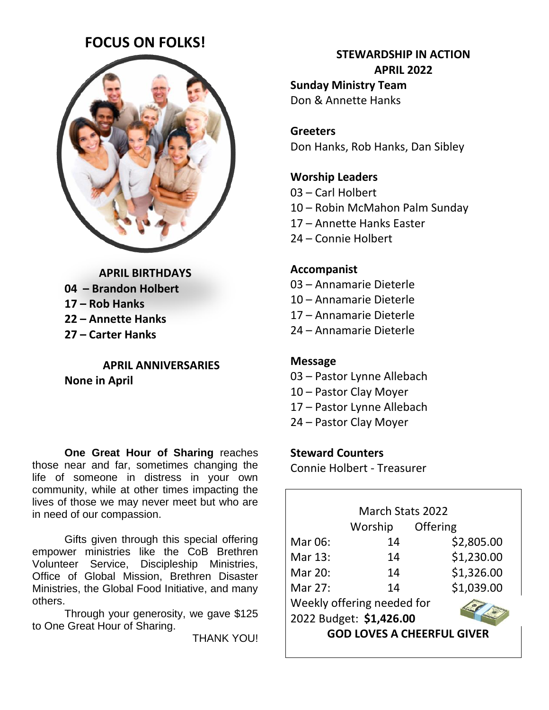## **FOCUS ON FOLKS!**



**APRIL BIRTHDAYS – Brandon Holbert – Rob Hanks – Annette Hanks – Carter Hanks**

**APRIL ANNIVERSARIES None in April**

**One Great Hour of Sharing** reaches those near and far, sometimes changing the life of someone in distress in your own community, while at other times impacting the lives of those we may never meet but who are in need of our compassion.

Gifts given through this special offering empower ministries like the CoB Brethren Volunteer Service, Discipleship Ministries, Office of Global Mission, Brethren Disaster Ministries, the Global Food Initiative, and many others.

Through your generosity, we gave \$125 to One Great Hour of Sharing.

THANK YOU!

## **STEWARDSHIP IN ACTION APRIL 2022 Sunday Ministry Team**

Don & Annette Hanks

**Greeters** Don Hanks, Rob Hanks, Dan Sibley

#### **Worship Leaders**

- 03 Carl Holbert
- 10 Robin McMahon Palm Sunday
- 17 Annette Hanks Easter
- 24 Connie Holbert

#### **Accompanist**

- 03 Annamarie Dieterle
- 10 Annamarie Dieterle
- 17 Annamarie Dieterle
- 24 Annamarie Dieterle

#### **Message**

- 03 Pastor Lynne Allebach
- 10 Pastor Clay Moyer
- 17 Pastor Lynne Allebach
- 24 Pastor Clay Moyer

#### **Steward Counters**

Connie Holbert - Treasurer

|                                   | <b>March Stats 2022</b> |            |  |  |
|-----------------------------------|-------------------------|------------|--|--|
|                                   | Worship                 | Offering   |  |  |
| Mar 06:                           | 14                      | \$2,805.00 |  |  |
| Mar 13:                           | 14                      | \$1,230.00 |  |  |
| Mar 20:                           | 14                      | \$1,326.00 |  |  |
| Mar 27:                           | 14                      | \$1,039.00 |  |  |
| Weekly offering needed for        |                         |            |  |  |
| 2022 Budget: \$1,426.00           |                         |            |  |  |
| <b>GOD LOVES A CHEERFUL GIVER</b> |                         |            |  |  |